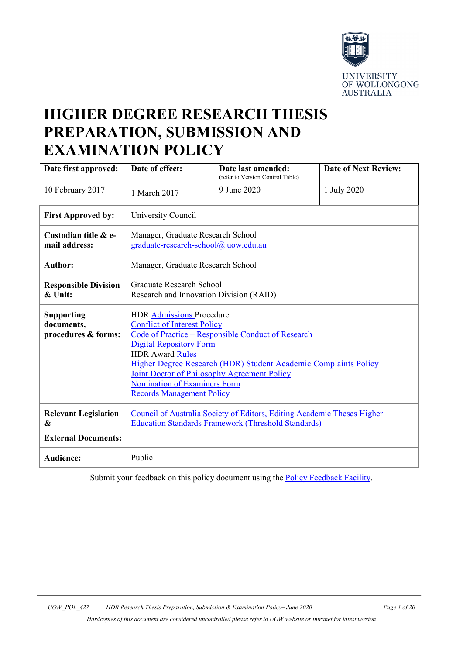

# **HIGHER DEGREE RESEARCH THESIS PREPARATION, SUBMISSION AND EXAMINATION POLICY**

| Date first approved:                                           | Date of effect:                                                                                                                                                                                                                                                                                                                                                                      | Date last amended:<br>(refer to Version Control Table) | <b>Date of Next Review:</b> |
|----------------------------------------------------------------|--------------------------------------------------------------------------------------------------------------------------------------------------------------------------------------------------------------------------------------------------------------------------------------------------------------------------------------------------------------------------------------|--------------------------------------------------------|-----------------------------|
| 10 February 2017                                               | 1 March 2017                                                                                                                                                                                                                                                                                                                                                                         | 9 June 2020                                            | 1 July 2020                 |
| <b>First Approved by:</b>                                      | University Council                                                                                                                                                                                                                                                                                                                                                                   |                                                        |                             |
| Custodian title & e-<br>mail address:                          | Manager, Graduate Research School<br>graduate-research-school@ uow.edu.au                                                                                                                                                                                                                                                                                                            |                                                        |                             |
| <b>Author:</b>                                                 | Manager, Graduate Research School                                                                                                                                                                                                                                                                                                                                                    |                                                        |                             |
| <b>Responsible Division</b><br>& Unit:                         | Graduate Research School<br>Research and Innovation Division (RAID)                                                                                                                                                                                                                                                                                                                  |                                                        |                             |
| <b>Supporting</b><br>documents,<br>procedures & forms:         | <b>HDR Admissions Procedure</b><br><b>Conflict of Interest Policy</b><br>Code of Practice - Responsible Conduct of Research<br><b>Digital Repository Form</b><br><b>HDR Award Rules</b><br>Higher Degree Research (HDR) Student Academic Complaints Policy<br>Joint Doctor of Philosophy Agreement Policy<br><b>Nomination of Examiners Form</b><br><b>Records Management Policy</b> |                                                        |                             |
| <b>Relevant Legislation</b><br>&<br><b>External Documents:</b> | Council of Australia Society of Editors, Editing Academic Theses Higher<br><b>Education Standards Framework (Threshold Standards)</b>                                                                                                                                                                                                                                                |                                                        |                             |
| <b>Audience:</b>                                               | Public                                                                                                                                                                                                                                                                                                                                                                               |                                                        |                             |

Submit your feedback on this policy document using the **Policy Feedback Facility**.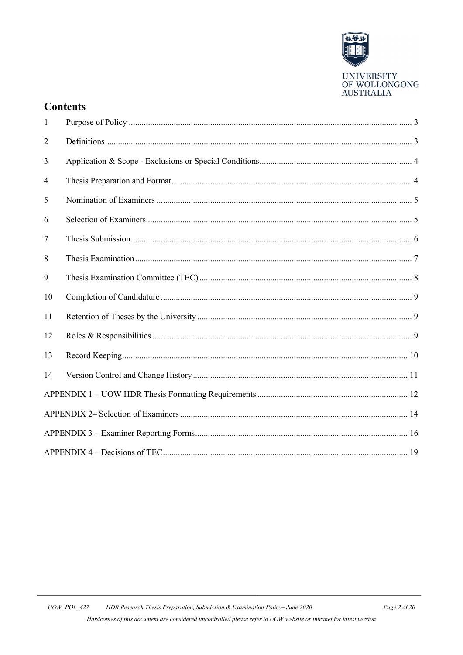

# **Contents**

| $\mathbf{1}$   |  |  |  |
|----------------|--|--|--|
| $\overline{2}$ |  |  |  |
| 3              |  |  |  |
| 4              |  |  |  |
| 5              |  |  |  |
| 6              |  |  |  |
| 7              |  |  |  |
| 8              |  |  |  |
| 9              |  |  |  |
| 10             |  |  |  |
| 11             |  |  |  |
| 12             |  |  |  |
| 13             |  |  |  |
| 14             |  |  |  |
|                |  |  |  |
|                |  |  |  |
|                |  |  |  |
|                |  |  |  |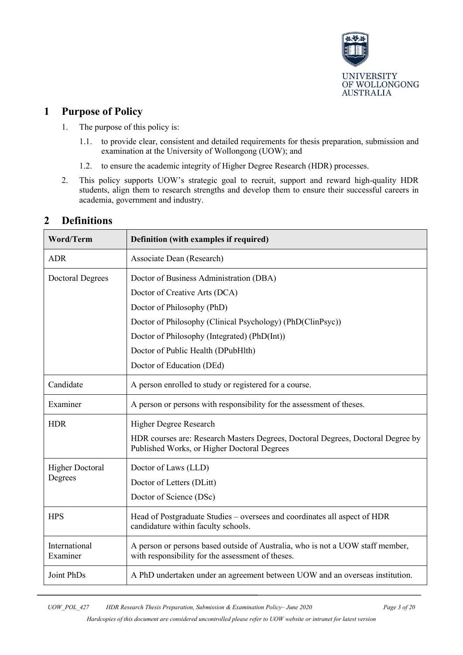

# <span id="page-2-0"></span>**1 Purpose of Policy**

- 1. The purpose of this policy is:
	- 1.1. to provide clear, consistent and detailed requirements for thesis preparation, submission and examination at the University of Wollongong (UOW); and
	- 1.2. to ensure the academic integrity of Higher Degree Research (HDR) processes.
- 2. This policy supports UOW's strategic goal to recruit, support and reward high-quality HDR students, align them to research strengths and develop them to ensure their successful careers in academia, government and industry.

| <b>Word/Term</b>          | Definition (with examples if required)                                                                                              |  |  |
|---------------------------|-------------------------------------------------------------------------------------------------------------------------------------|--|--|
| <b>ADR</b>                | Associate Dean (Research)                                                                                                           |  |  |
| <b>Doctoral Degrees</b>   | Doctor of Business Administration (DBA)                                                                                             |  |  |
|                           | Doctor of Creative Arts (DCA)                                                                                                       |  |  |
|                           | Doctor of Philosophy (PhD)                                                                                                          |  |  |
|                           | Doctor of Philosophy (Clinical Psychology) (PhD(ClinPsyc))                                                                          |  |  |
|                           | Doctor of Philosophy (Integrated) (PhD(Int))                                                                                        |  |  |
|                           | Doctor of Public Health (DPubHlth)                                                                                                  |  |  |
|                           | Doctor of Education (DEd)                                                                                                           |  |  |
| Candidate                 | A person enrolled to study or registered for a course.                                                                              |  |  |
| Examiner                  | A person or persons with responsibility for the assessment of theses.                                                               |  |  |
| <b>HDR</b>                | Higher Degree Research                                                                                                              |  |  |
|                           | HDR courses are: Research Masters Degrees, Doctoral Degrees, Doctoral Degree by<br>Published Works, or Higher Doctoral Degrees      |  |  |
| <b>Higher Doctoral</b>    | Doctor of Laws (LLD)                                                                                                                |  |  |
| Degrees                   | Doctor of Letters (DLitt)                                                                                                           |  |  |
|                           | Doctor of Science (DSc)                                                                                                             |  |  |
| <b>HPS</b>                | Head of Postgraduate Studies – oversees and coordinates all aspect of HDR<br>candidature within faculty schools.                    |  |  |
| International<br>Examiner | A person or persons based outside of Australia, who is not a UOW staff member,<br>with responsibility for the assessment of theses. |  |  |
| Joint PhDs                | A PhD undertaken under an agreement between UOW and an overseas institution.                                                        |  |  |

# <span id="page-2-1"></span>**2 Definitions**

*UOW\_POL\_427 HDR Research Thesis Preparation, Submission & Examination Policy– June 2020 Page 3 of 20*

*Hardcopies of this document are considered uncontrolled please refer to UOW website or intranet for latest version*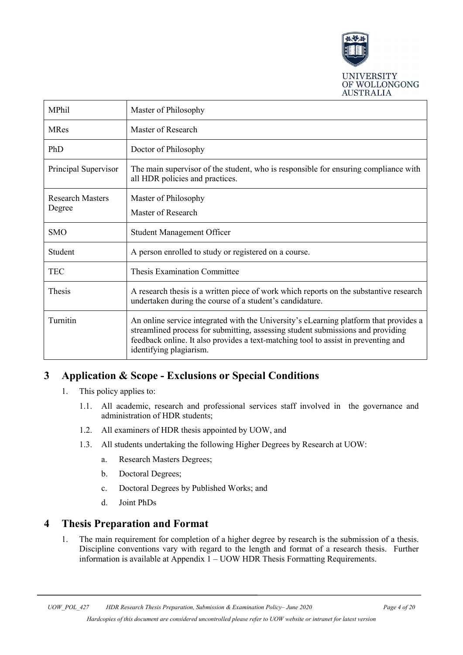

| MPhil                             | Master of Philosophy                                                                                                                                                                                                                                                                      |  |
|-----------------------------------|-------------------------------------------------------------------------------------------------------------------------------------------------------------------------------------------------------------------------------------------------------------------------------------------|--|
| <b>MRes</b>                       | Master of Research                                                                                                                                                                                                                                                                        |  |
| PhD                               | Doctor of Philosophy                                                                                                                                                                                                                                                                      |  |
| Principal Supervisor              | The main supervisor of the student, who is responsible for ensuring compliance with<br>all HDR policies and practices.                                                                                                                                                                    |  |
| <b>Research Masters</b><br>Degree | Master of Philosophy<br>Master of Research                                                                                                                                                                                                                                                |  |
|                                   |                                                                                                                                                                                                                                                                                           |  |
| <b>SMO</b>                        | <b>Student Management Officer</b>                                                                                                                                                                                                                                                         |  |
| Student                           | A person enrolled to study or registered on a course.                                                                                                                                                                                                                                     |  |
| <b>TEC</b>                        | <b>Thesis Examination Committee</b>                                                                                                                                                                                                                                                       |  |
| Thesis                            | A research thesis is a written piece of work which reports on the substantive research<br>undertaken during the course of a student's candidature.                                                                                                                                        |  |
| Turnitin                          | An online service integrated with the University's eLearning platform that provides a<br>streamlined process for submitting, assessing student submissions and providing<br>feedback online. It also provides a text-matching tool to assist in preventing and<br>identifying plagiarism. |  |

# <span id="page-3-0"></span>**3 Application & Scope - Exclusions or Special Conditions**

- 1. This policy applies to:
	- 1.1. All academic, research and professional services staff involved in the governance and administration of HDR students;
	- 1.2. All examiners of HDR thesis appointed by UOW, and
	- 1.3. All students undertaking the following Higher Degrees by Research at UOW:
		- a. Research Masters Degrees;
		- b. Doctoral Degrees;
		- c. Doctoral Degrees by Published Works; and
		- d. Joint PhDs

# <span id="page-3-1"></span>**4 Thesis Preparation and Format**

1. The main requirement for completion of a higher degree by research is the submission of a thesis. Discipline conventions vary with regard to the length and format of a research thesis. Further information is available at Appendix 1 – UOW HDR Thesis Formatting Requirements.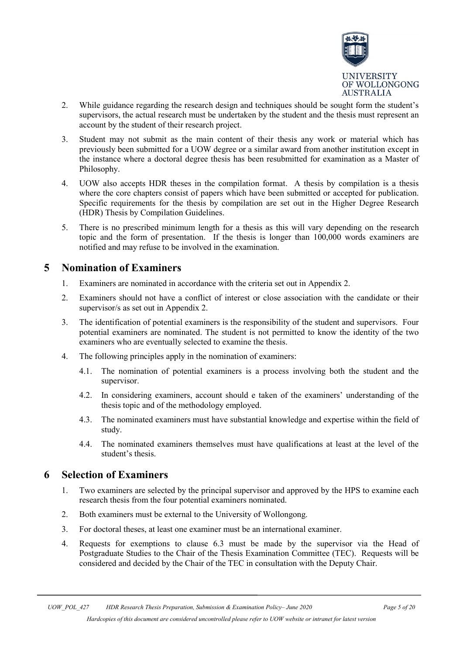

- 2. While guidance regarding the research design and techniques should be sought form the student's supervisors, the actual research must be undertaken by the student and the thesis must represent an account by the student of their research project.
- 3. Student may not submit as the main content of their thesis any work or material which has previously been submitted for a UOW degree or a similar award from another institution except in the instance where a doctoral degree thesis has been resubmitted for examination as a Master of Philosophy.
- 4. UOW also accepts HDR theses in the compilation format. A thesis by compilation is a thesis where the core chapters consist of papers which have been submitted or accepted for publication. Specific requirements for the thesis by compilation are set out in the Higher Degree Research (HDR) Thesis by Compilation Guidelines.
- 5. There is no prescribed minimum length for a thesis as this will vary depending on the research topic and the form of presentation. If the thesis is longer than 100,000 words examiners are notified and may refuse to be involved in the examination.

# <span id="page-4-0"></span>**5 Nomination of Examiners**

- 1. Examiners are nominated in accordance with the criteria set out in Appendix 2.
- 2. Examiners should not have a conflict of interest or close association with the candidate or their supervisor/s as set out in Appendix 2.
- 3. The identification of potential examiners is the responsibility of the student and supervisors. Four potential examiners are nominated. The student is not permitted to know the identity of the two examiners who are eventually selected to examine the thesis.
- 4. The following principles apply in the nomination of examiners:
	- 4.1. The nomination of potential examiners is a process involving both the student and the supervisor.
	- 4.2. In considering examiners, account should e taken of the examiners' understanding of the thesis topic and of the methodology employed.
	- 4.3. The nominated examiners must have substantial knowledge and expertise within the field of study.
	- 4.4. The nominated examiners themselves must have qualifications at least at the level of the student's thesis.

# <span id="page-4-1"></span>**6 Selection of Examiners**

- 1. Two examiners are selected by the principal supervisor and approved by the HPS to examine each research thesis from the four potential examiners nominated.
- 2. Both examiners must be external to the University of Wollongong.
- 3. For doctoral theses, at least one examiner must be an international examiner.
- 4. Requests for exemptions to clause 6.3 must be made by the supervisor via the Head of Postgraduate Studies to the Chair of the Thesis Examination Committee (TEC). Requests will be considered and decided by the Chair of the TEC in consultation with the Deputy Chair.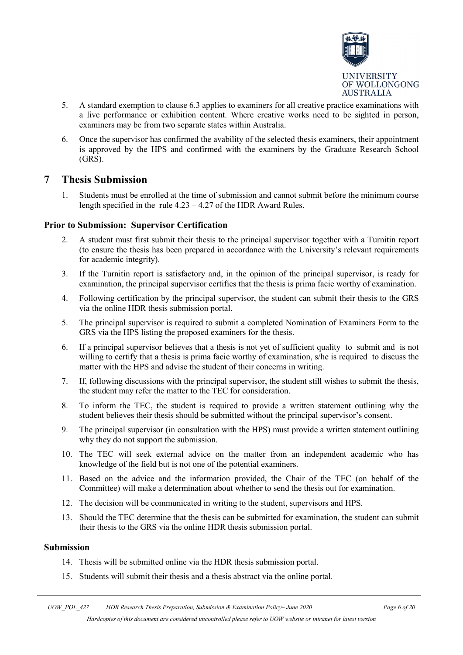

- 5. A standard exemption to clause 6.3 applies to examiners for all creative practice examinations with a live performance or exhibition content. Where creative works need to be sighted in person, examiners may be from two separate states within Australia.
- 6. Once the supervisor has confirmed the avability of the selected thesis examiners, their appointment is approved by the HPS and confirmed with the examiners by the Graduate Research School (GRS).

### <span id="page-5-0"></span>**7 Thesis Submission**

1. Students must be enrolled at the time of submission and cannot submit before the minimum course length specified in the rule 4.23 – 4.27 of the HDR Award Rules.

#### **Prior to Submission: Supervisor Certification**

- 2. A student must first submit their thesis to the principal supervisor together with a Turnitin report (to ensure the thesis has been prepared in accordance with the University's relevant requirements for academic integrity).
- 3. If the Turnitin report is satisfactory and, in the opinion of the principal supervisor, is ready for examination, the principal supervisor certifies that the thesis is prima facie worthy of examination.
- 4. Following certification by the principal supervisor, the student can submit their thesis to the GRS via the online HDR thesis submission portal.
- 5. The principal supervisor is required to submit a completed Nomination of Examiners Form to the GRS via the HPS listing the proposed examiners for the thesis.
- 6. If a principal supervisor believes that a thesis is not yet of sufficient quality to submit and is not willing to certify that a thesis is prima facie worthy of examination, s/he is required to discuss the matter with the HPS and advise the student of their concerns in writing.
- 7. If, following discussions with the principal supervisor, the student still wishes to submit the thesis, the student may refer the matter to the TEC for consideration.
- 8. To inform the TEC, the student is required to provide a written statement outlining why the student believes their thesis should be submitted without the principal supervisor's consent.
- 9. The principal supervisor (in consultation with the HPS) must provide a written statement outlining why they do not support the submission.
- 10. The TEC will seek external advice on the matter from an independent academic who has knowledge of the field but is not one of the potential examiners.
- 11. Based on the advice and the information provided, the Chair of the TEC (on behalf of the Committee) will make a determination about whether to send the thesis out for examination.
- 12. The decision will be communicated in writing to the student, supervisors and HPS.
- 13. Should the TEC determine that the thesis can be submitted for examination, the student can submit their thesis to the GRS via the online HDR thesis submission portal.

#### **Submission**

- 14. Thesis will be submitted online via the HDR thesis submission portal.
- 15. Students will submit their thesis and a thesis abstract via the online portal.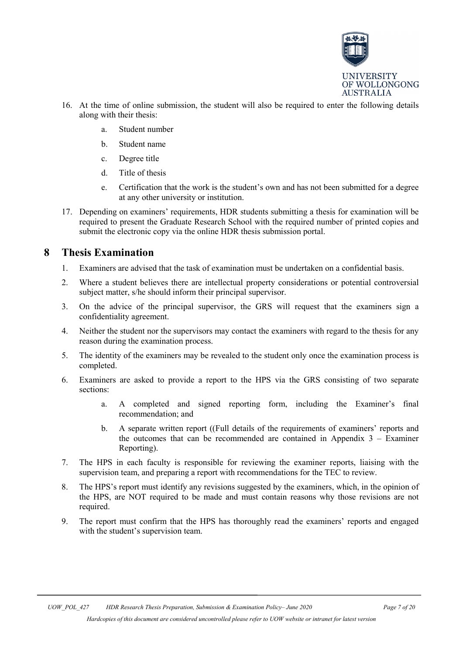

- 16. At the time of online submission, the student will also be required to enter the following details along with their thesis:
	- a. Student number
	- b. Student name
	- c. Degree title
	- d. Title of thesis
	- e. Certification that the work is the student's own and has not been submitted for a degree at any other university or institution.
- 17. Depending on examiners' requirements, HDR students submitting a thesis for examination will be required to present the Graduate Research School with the required number of printed copies and submit the electronic copy via the online HDR thesis submission portal.

# <span id="page-6-0"></span>**8 Thesis Examination**

- 1. Examiners are advised that the task of examination must be undertaken on a confidential basis.
- 2. Where a student believes there are intellectual property considerations or potential controversial subject matter, s/he should inform their principal supervisor.
- 3. On the advice of the principal supervisor, the GRS will request that the examiners sign a confidentiality agreement.
- 4. Neither the student nor the supervisors may contact the examiners with regard to the thesis for any reason during the examination process.
- 5. The identity of the examiners may be revealed to the student only once the examination process is completed.
- 6. Examiners are asked to provide a report to the HPS via the GRS consisting of two separate sections:
	- a. A completed and signed reporting form, including the Examiner's final recommendation; and
	- b. A separate written report ((Full details of the requirements of examiners' reports and the outcomes that can be recommended are contained in Appendix  $3 - Examine$ Reporting).
- 7. The HPS in each faculty is responsible for reviewing the examiner reports, liaising with the supervision team, and preparing a report with recommendations for the TEC to review.
- 8. The HPS's report must identify any revisions suggested by the examiners, which, in the opinion of the HPS, are NOT required to be made and must contain reasons why those revisions are not required.
- 9. The report must confirm that the HPS has thoroughly read the examiners' reports and engaged with the student's supervision team.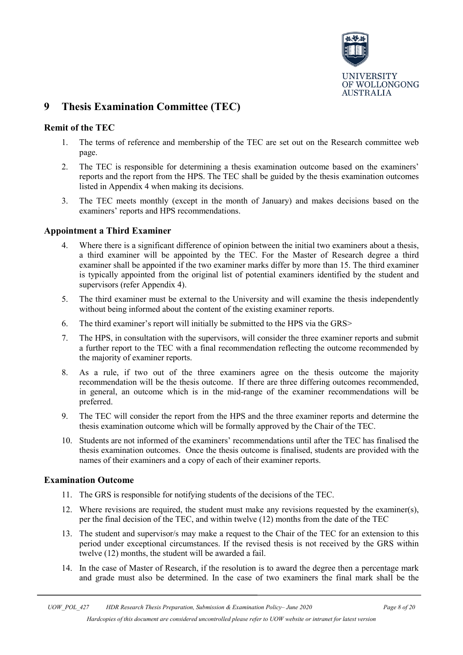

# <span id="page-7-0"></span>**9 Thesis Examination Committee (TEC)**

#### **Remit of the TEC**

- 1. The terms of reference and membership of the TEC are set out on the Research committee web page.
- 2. The TEC is responsible for determining a thesis examination outcome based on the examiners' reports and the report from the HPS. The TEC shall be guided by the thesis examination outcomes listed in Appendix 4 when making its decisions.
- 3. The TEC meets monthly (except in the month of January) and makes decisions based on the examiners' reports and HPS recommendations.

#### **Appointment a Third Examiner**

- 4. Where there is a significant difference of opinion between the initial two examiners about a thesis, a third examiner will be appointed by the TEC. For the Master of Research degree a third examiner shall be appointed if the two examiner marks differ by more than 15. The third examiner is typically appointed from the original list of potential examiners identified by the student and supervisors (refer Appendix 4).
- 5. The third examiner must be external to the University and will examine the thesis independently without being informed about the content of the existing examiner reports.
- 6. The third examiner's report will initially be submitted to the HPS via the GRS>
- 7. The HPS, in consultation with the supervisors, will consider the three examiner reports and submit a further report to the TEC with a final recommendation reflecting the outcome recommended by the majority of examiner reports.
- 8. As a rule, if two out of the three examiners agree on the thesis outcome the majority recommendation will be the thesis outcome. If there are three differing outcomes recommended, in general, an outcome which is in the mid-range of the examiner recommendations will be preferred.
- 9. The TEC will consider the report from the HPS and the three examiner reports and determine the thesis examination outcome which will be formally approved by the Chair of the TEC.
- 10. Students are not informed of the examiners' recommendations until after the TEC has finalised the thesis examination outcomes. Once the thesis outcome is finalised, students are provided with the names of their examiners and a copy of each of their examiner reports.

#### **Examination Outcome**

- 11. The GRS is responsible for notifying students of the decisions of the TEC.
- 12. Where revisions are required, the student must make any revisions requested by the examiner(s), per the final decision of the TEC, and within twelve (12) months from the date of the TEC
- 13. The student and supervisor/s may make a request to the Chair of the TEC for an extension to this period under exceptional circumstances. If the revised thesis is not received by the GRS within twelve (12) months, the student will be awarded a fail.
- 14. In the case of Master of Research, if the resolution is to award the degree then a percentage mark and grade must also be determined. In the case of two examiners the final mark shall be the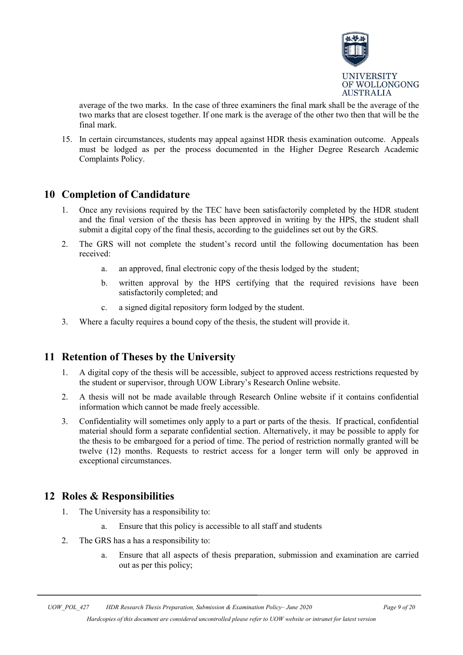

average of the two marks. In the case of three examiners the final mark shall be the average of the two marks that are closest together. If one mark is the average of the other two then that will be the final mark.

15. In certain circumstances, students may appeal against HDR thesis examination outcome. Appeals must be lodged as per the process documented in the Higher Degree Research Academic Complaints Policy.

# <span id="page-8-0"></span>**10 Completion of Candidature**

- 1. Once any revisions required by the TEC have been satisfactorily completed by the HDR student and the final version of the thesis has been approved in writing by the HPS, the student shall submit a digital copy of the final thesis, according to the guidelines set out by the GRS.
- 2. The GRS will not complete the student's record until the following documentation has been received:
	- a. an approved, final electronic copy of the thesis lodged by the student;
	- b. written approval by the HPS certifying that the required revisions have been satisfactorily completed; and
	- c. a signed digital repository form lodged by the student.
- 3. Where a faculty requires a bound copy of the thesis, the student will provide it.

# <span id="page-8-1"></span>**11 Retention of Theses by the University**

- 1. A digital copy of the thesis will be accessible, subject to approved access restrictions requested by the student or supervisor, through UOW Library's Research Online website.
- 2. A thesis will not be made available through Research Online website if it contains confidential information which cannot be made freely accessible.
- 3. Confidentiality will sometimes only apply to a part or parts of the thesis. If practical, confidential material should form a separate confidential section. Alternatively, it may be possible to apply for the thesis to be embargoed for a period of time. The period of restriction normally granted will be twelve (12) months. Requests to restrict access for a longer term will only be approved in exceptional circumstances.

# <span id="page-8-2"></span>**12 Roles & Responsibilities**

- 1. The University has a responsibility to:
	- a. Ensure that this policy is accessible to all staff and students
- 2. The GRS has a has a responsibility to:
	- a. Ensure that all aspects of thesis preparation, submission and examination are carried out as per this policy;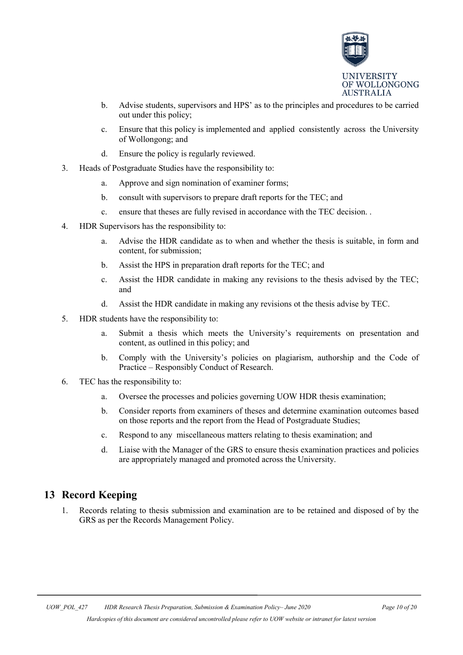

- b. Advise students, supervisors and HPS' as to the principles and procedures to be carried out under this policy;
- c. Ensure that this policy is implemented and applied consistently across the University of Wollongong; and
- d. Ensure the policy is regularly reviewed.
- 3. Heads of Postgraduate Studies have the responsibility to:
	- a. Approve and sign nomination of examiner forms;
	- b. consult with supervisors to prepare draft reports for the TEC; and
	- c. ensure that theses are fully revised in accordance with the TEC decision. .
- 4. HDR Supervisors has the responsibility to:
	- a. Advise the HDR candidate as to when and whether the thesis is suitable, in form and content, for submission;
	- b. Assist the HPS in preparation draft reports for the TEC; and
	- c. Assist the HDR candidate in making any revisions to the thesis advised by the TEC; and
	- d. Assist the HDR candidate in making any revisions ot the thesis advise by TEC.
- 5. HDR students have the responsibility to:
	- a. Submit a thesis which meets the University's requirements on presentation and content, as outlined in this policy; and
	- b. Comply with the University's policies on plagiarism, authorship and the Code of Practice – Responsibly Conduct of Research.
- 6. TEC has the responsibility to:
	- a. Oversee the processes and policies governing UOW HDR thesis examination;
	- b. Consider reports from examiners of theses and determine examination outcomes based on those reports and the report from the Head of Postgraduate Studies;
	- c. Respond to any miscellaneous matters relating to thesis examination; and
	- d. Liaise with the Manager of the GRS to ensure thesis examination practices and policies are appropriately managed and promoted across the University.

# <span id="page-9-0"></span>**13 Record Keeping**

1. Records relating to thesis submission and examination are to be retained and disposed of by the GRS as per the Records Management Policy.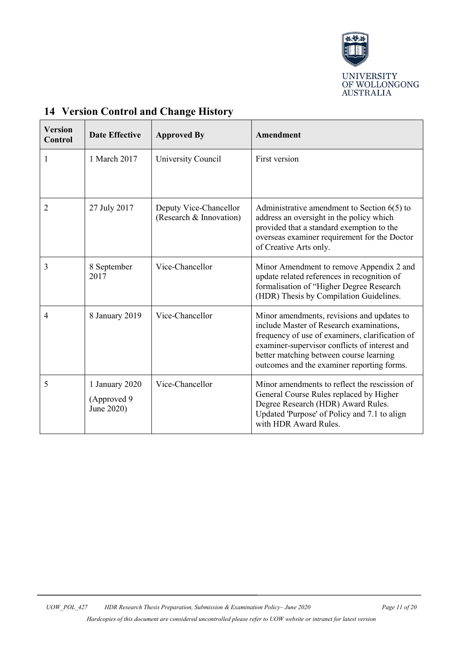

| <b>Version</b><br>Control | <b>Date Effective</b>                        | <b>Approved By</b>                                | Amendment                                                                                                                                                                                                                                                                           |
|---------------------------|----------------------------------------------|---------------------------------------------------|-------------------------------------------------------------------------------------------------------------------------------------------------------------------------------------------------------------------------------------------------------------------------------------|
| 1                         | 1 March 2017                                 | University Council                                | First version                                                                                                                                                                                                                                                                       |
| 2                         | 27 July 2017                                 | Deputy Vice-Chancellor<br>(Research & Innovation) | Administrative amendment to Section $6(5)$ to<br>address an oversight in the policy which<br>provided that a standard exemption to the<br>overseas examiner requirement for the Doctor<br>of Creative Arts only.                                                                    |
| 3                         | 8 September<br>2017                          | Vice-Chancellor                                   | Minor Amendment to remove Appendix 2 and<br>update related references in recognition of<br>formalisation of "Higher Degree Research<br>(HDR) Thesis by Compilation Guidelines.                                                                                                      |
| $\overline{4}$            | 8 January 2019                               | Vice-Chancellor                                   | Minor amendments, revisions and updates to<br>include Master of Research examinations,<br>frequency of use of examiners, clarification of<br>examiner-supervisor conflicts of interest and<br>better matching between course learning<br>outcomes and the examiner reporting forms. |
| 5                         | 1 January 2020<br>(Approved 9)<br>June 2020) | Vice-Chancellor                                   | Minor amendments to reflect the rescission of<br>General Course Rules replaced by Higher<br>Degree Research (HDR) Award Rules.<br>Updated 'Purpose' of Policy and 7.1 to align<br>with HDR Award Rules.                                                                             |

# <span id="page-10-0"></span>**14 Version Control and Change History**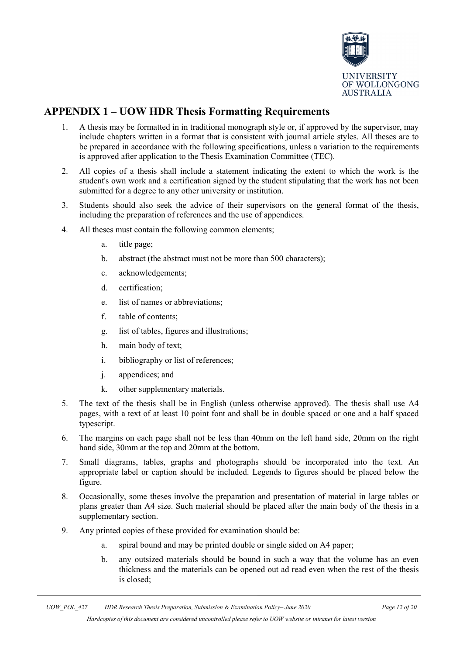

# <span id="page-11-0"></span>**APPENDIX 1 – UOW HDR Thesis Formatting Requirements**

- 1. A thesis may be formatted in in traditional monograph style or, if approved by the supervisor, may include chapters written in a format that is consistent with journal article styles. All theses are to be prepared in accordance with the following specifications, unless a variation to the requirements is approved after application to the Thesis Examination Committee (TEC).
- 2. All copies of a thesis shall include a statement indicating the extent to which the work is the student's own work and a certification signed by the student stipulating that the work has not been submitted for a degree to any other university or institution.
- 3. Students should also seek the advice of their supervisors on the general format of the thesis, including the preparation of references and the use of appendices.
- 4. All theses must contain the following common elements;
	- a. title page;
	- b. abstract (the abstract must not be more than 500 characters);
	- c. acknowledgements;
	- d. certification;
	- e. list of names or abbreviations;
	- f. table of contents;
	- g. list of tables, figures and illustrations;
	- h. main body of text;
	- i. bibliography or list of references;
	- j. appendices; and
	- k. other supplementary materials.
- 5. The text of the thesis shall be in English (unless otherwise approved). The thesis shall use A4 pages, with a text of at least 10 point font and shall be in double spaced or one and a half spaced typescript.
- 6. The margins on each page shall not be less than 40mm on the left hand side, 20mm on the right hand side, 30mm at the top and 20mm at the bottom.
- 7. Small diagrams, tables, graphs and photographs should be incorporated into the text. An appropriate label or caption should be included. Legends to figures should be placed below the figure.
- 8. Occasionally, some theses involve the preparation and presentation of material in large tables or plans greater than A4 size. Such material should be placed after the main body of the thesis in a supplementary section.
- 9. Any printed copies of these provided for examination should be:
	- a. spiral bound and may be printed double or single sided on A4 paper;
	- b. any outsized materials should be bound in such a way that the volume has an even thickness and the materials can be opened out ad read even when the rest of the thesis is closed;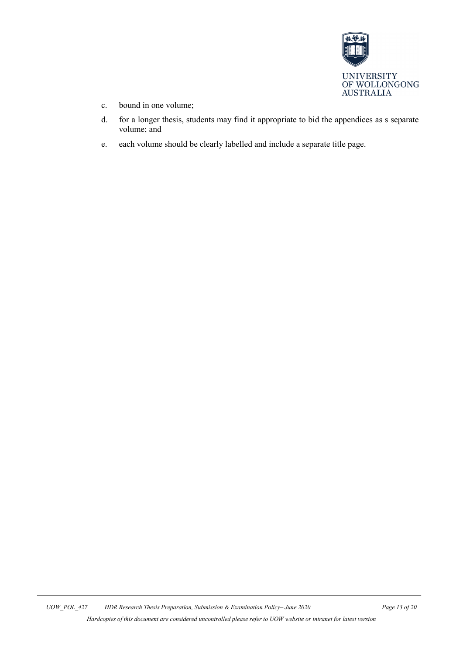

- c. bound in one volume;
- d. for a longer thesis, students may find it appropriate to bid the appendices as s separate volume; and
- e. each volume should be clearly labelled and include a separate title page.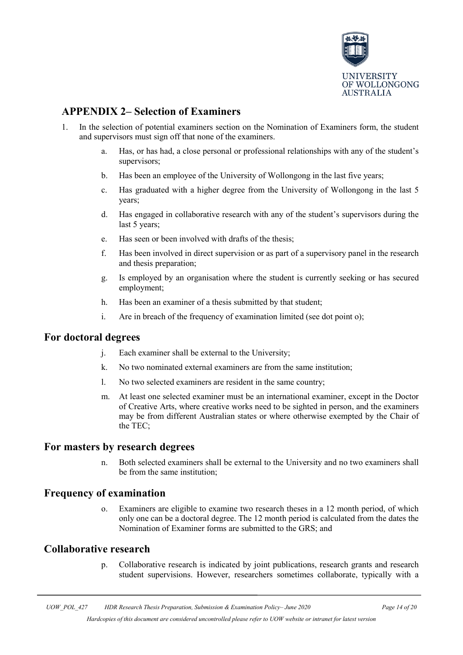

# <span id="page-13-0"></span>**APPENDIX 2– Selection of Examiners**

- 1. In the selection of potential examiners section on the Nomination of Examiners form, the student and supervisors must sign off that none of the examiners.
	- a. Has, or has had, a close personal or professional relationships with any of the student's supervisors;
	- b. Has been an employee of the University of Wollongong in the last five years;
	- c. Has graduated with a higher degree from the University of Wollongong in the last 5 years;
	- d. Has engaged in collaborative research with any of the student's supervisors during the last 5 years;
	- e. Has seen or been involved with drafts of the thesis;
	- f. Has been involved in direct supervision or as part of a supervisory panel in the research and thesis preparation;
	- g. Is employed by an organisation where the student is currently seeking or has secured employment;
	- h. Has been an examiner of a thesis submitted by that student;
	- i. Are in breach of the frequency of examination limited (see dot point o);

#### **For doctoral degrees**

- j. Each examiner shall be external to the University;
- k. No two nominated external examiners are from the same institution;
- l. No two selected examiners are resident in the same country;
- m. At least one selected examiner must be an international examiner, except in the Doctor of Creative Arts, where creative works need to be sighted in person, and the examiners may be from different Australian states or where otherwise exempted by the Chair of the TEC;

#### **For masters by research degrees**

n. Both selected examiners shall be external to the University and no two examiners shall be from the same institution;

#### **Frequency of examination**

o. Examiners are eligible to examine two research theses in a 12 month period, of which only one can be a doctoral degree. The 12 month period is calculated from the dates the Nomination of Examiner forms are submitted to the GRS; and

#### **Collaborative research**

p. Collaborative research is indicated by joint publications, research grants and research student supervisions. However, researchers sometimes collaborate, typically with a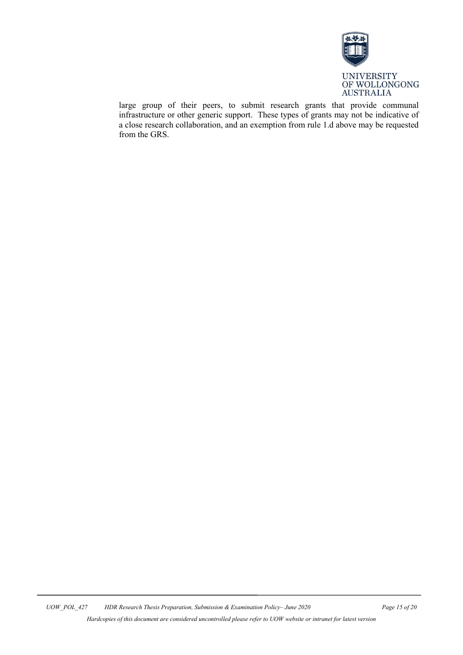

large group of their peers, to submit research grants that provide communal infrastructure or other generic support. These types of grants may not be indicative of a close research collaboration, and an exemption from rule 1.d above may be requested from the GRS.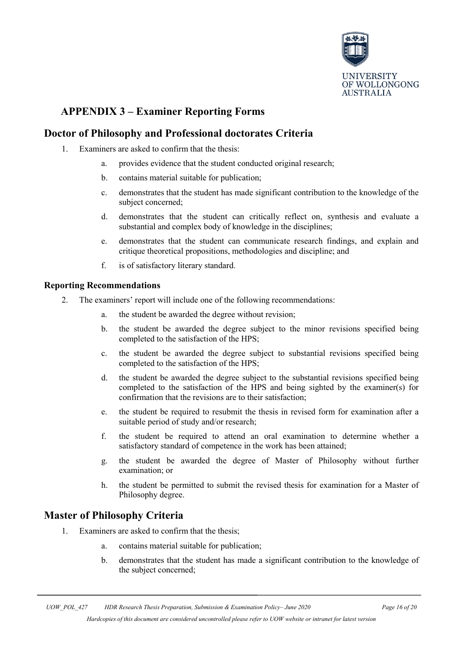

# <span id="page-15-0"></span>**APPENDIX 3 – Examiner Reporting Forms**

# **Doctor of Philosophy and Professional doctorates Criteria**

- 1. Examiners are asked to confirm that the thesis:
	- a. provides evidence that the student conducted original research;
	- b. contains material suitable for publication;
	- c. demonstrates that the student has made significant contribution to the knowledge of the subject concerned;
	- d. demonstrates that the student can critically reflect on, synthesis and evaluate a substantial and complex body of knowledge in the disciplines;
	- e. demonstrates that the student can communicate research findings, and explain and critique theoretical propositions, methodologies and discipline; and
	- f. is of satisfactory literary standard.

#### **Reporting Recommendations**

- 2. The examiners' report will include one of the following recommendations:
	- a. the student be awarded the degree without revision;
	- b. the student be awarded the degree subject to the minor revisions specified being completed to the satisfaction of the HPS;
	- c. the student be awarded the degree subject to substantial revisions specified being completed to the satisfaction of the HPS;
	- d. the student be awarded the degree subject to the substantial revisions specified being completed to the satisfaction of the HPS and being sighted by the examiner(s) for confirmation that the revisions are to their satisfaction;
	- e. the student be required to resubmit the thesis in revised form for examination after a suitable period of study and/or research;
	- f. the student be required to attend an oral examination to determine whether a satisfactory standard of competence in the work has been attained;
	- g. the student be awarded the degree of Master of Philosophy without further examination; or
	- h. the student be permitted to submit the revised thesis for examination for a Master of Philosophy degree.

# **Master of Philosophy Criteria**

- 1. Examiners are asked to confirm that the thesis;
	- a. contains material suitable for publication;
	- b. demonstrates that the student has made a significant contribution to the knowledge of the subject concerned;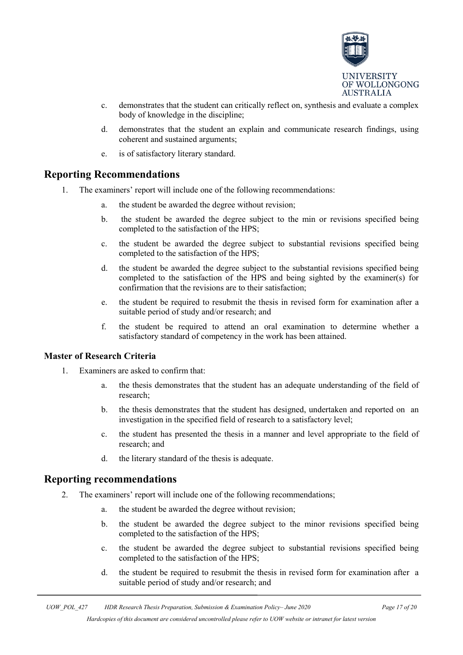

- c. demonstrates that the student can critically reflect on, synthesis and evaluate a complex body of knowledge in the discipline;
- d. demonstrates that the student an explain and communicate research findings, using coherent and sustained arguments;
- e. is of satisfactory literary standard.

### **Reporting Recommendations**

- 1. The examiners' report will include one of the following recommendations:
	- the student be awarded the degree without revision;
	- b. the student be awarded the degree subject to the min or revisions specified being completed to the satisfaction of the HPS;
	- c. the student be awarded the degree subject to substantial revisions specified being completed to the satisfaction of the HPS;
	- d. the student be awarded the degree subject to the substantial revisions specified being completed to the satisfaction of the HPS and being sighted by the examiner(s) for confirmation that the revisions are to their satisfaction;
	- e. the student be required to resubmit the thesis in revised form for examination after a suitable period of study and/or research; and
	- f. the student be required to attend an oral examination to determine whether a satisfactory standard of competency in the work has been attained.

#### **Master of Research Criteria**

- 1. Examiners are asked to confirm that:
	- a. the thesis demonstrates that the student has an adequate understanding of the field of research;
	- b. the thesis demonstrates that the student has designed, undertaken and reported on an investigation in the specified field of research to a satisfactory level;
	- c. the student has presented the thesis in a manner and level appropriate to the field of research; and
	- d. the literary standard of the thesis is adequate.

#### **Reporting recommendations**

- 2. The examiners' report will include one of the following recommendations;
	- a. the student be awarded the degree without revision;
	- b. the student be awarded the degree subject to the minor revisions specified being completed to the satisfaction of the HPS;
	- c. the student be awarded the degree subject to substantial revisions specified being completed to the satisfaction of the HPS;
	- d. the student be required to resubmit the thesis in revised form for examination after a suitable period of study and/or research; and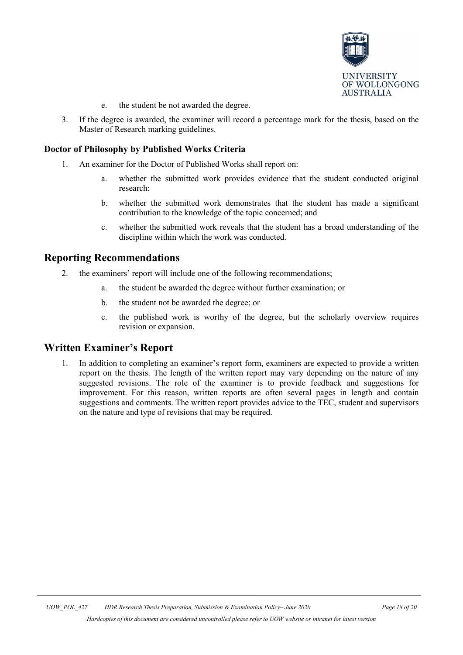

- e. the student be not awarded the degree.
- 3. If the degree is awarded, the examiner will record a percentage mark for the thesis, based on the Master of Research marking guidelines.

#### **Doctor of Philosophy by Published Works Criteria**

- 1. An examiner for the Doctor of Published Works shall report on:
	- a. whether the submitted work provides evidence that the student conducted original research;
	- b. whether the submitted work demonstrates that the student has made a significant contribution to the knowledge of the topic concerned; and
	- c. whether the submitted work reveals that the student has a broad understanding of the discipline within which the work was conducted.

#### **Reporting Recommendations**

- 2. the examiners' report will include one of the following recommendations;
	- the student be awarded the degree without further examination; or
	- b. the student not be awarded the degree; or
	- c. the published work is worthy of the degree, but the scholarly overview requires revision or expansion.

#### **Written Examiner's Report**

1. In addition to completing an examiner's report form, examiners are expected to provide a written report on the thesis. The length of the written report may vary depending on the nature of any suggested revisions. The role of the examiner is to provide feedback and suggestions for improvement. For this reason, written reports are often several pages in length and contain suggestions and comments. The written report provides advice to the TEC, student and supervisors on the nature and type of revisions that may be required.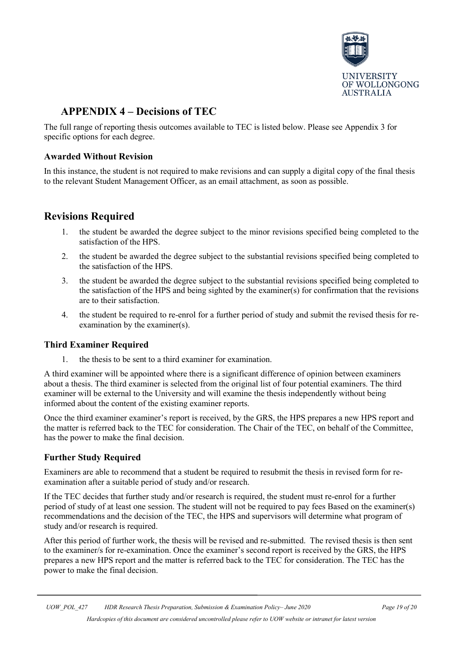

# <span id="page-18-0"></span>**APPENDIX 4 – Decisions of TEC**

The full range of reporting thesis outcomes available to TEC is listed below. Please see Appendix 3 for specific options for each degree.

#### **Awarded Without Revision**

In this instance, the student is not required to make revisions and can supply a digital copy of the final thesis to the relevant Student Management Officer, as an email attachment, as soon as possible.

# **Revisions Required**

- 1. the student be awarded the degree subject to the minor revisions specified being completed to the satisfaction of the HPS.
- 2. the student be awarded the degree subject to the substantial revisions specified being completed to the satisfaction of the HPS.
- 3. the student be awarded the degree subject to the substantial revisions specified being completed to the satisfaction of the HPS and being sighted by the examiner(s) for confirmation that the revisions are to their satisfaction.
- 4. the student be required to re-enrol for a further period of study and submit the revised thesis for reexamination by the examiner(s).

#### **Third Examiner Required**

1. the thesis to be sent to a third examiner for examination.

A third examiner will be appointed where there is a significant difference of opinion between examiners about a thesis. The third examiner is selected from the original list of four potential examiners. The third examiner will be external to the University and will examine the thesis independently without being informed about the content of the existing examiner reports.

Once the third examiner examiner's report is received, by the GRS, the HPS prepares a new HPS report and the matter is referred back to the TEC for consideration. The Chair of the TEC, on behalf of the Committee, has the power to make the final decision.

#### **Further Study Required**

Examiners are able to recommend that a student be required to resubmit the thesis in revised form for reexamination after a suitable period of study and/or research.

If the TEC decides that further study and/or research is required, the student must re-enrol for a further period of study of at least one session. The student will not be required to pay fees Based on the examiner(s) recommendations and the decision of the TEC, the HPS and supervisors will determine what program of study and/or research is required.

After this period of further work, the thesis will be revised and re-submitted. The revised thesis is then sent to the examiner/s for re-examination. Once the examiner's second report is received by the GRS, the HPS prepares a new HPS report and the matter is referred back to the TEC for consideration. The TEC has the power to make the final decision.